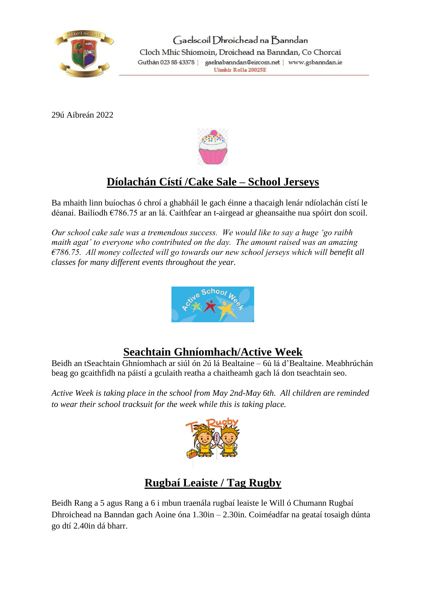

29ú Aibreán 2022



# **Díolachán Cístí /Cake Sale – School Jerseys**

Ba mhaith linn buíochas ó chroí a ghabháil le gach éinne a thacaigh lenár ndíolachán cístí le déanaí. Bailíodh €786.75 ar an lá. Caithfear an t-airgead ar gheansaithe nua spóirt don scoil.

*Our school cake sale was a tremendous success. We would like to say a huge 'go raibh maith agat' to everyone who contributed on the day. The amount raised was an amazing €786.75. All money collected will go towards our new school jerseys which will benefit all classes for many different events throughout the year.*



### **Seachtain Ghníomhach/Active Week**

Beidh an tSeachtain Ghníomhach ar siúl ón 2ú lá Bealtaine – 6ú lá d'Bealtaine. Meabhrúchán beag go gcaithfidh na páistí a gculaith reatha a chaitheamh gach lá don tseachtain seo.

*Active Week is taking place in the school from May 2nd-May 6th. All children are reminded to wear their school tracksuit for the week while this is taking place.*



### **Rugbaí Leaiste / Tag Rugby**

Beidh Rang a 5 agus Rang a 6 i mbun traenála rugbaí leaiste le Will ó Chumann Rugbaí Dhroichead na Banndan gach Aoine óna 1.30in – 2.30in. Coiméadfar na geataí tosaigh dúnta go dtí 2.40in dá bharr.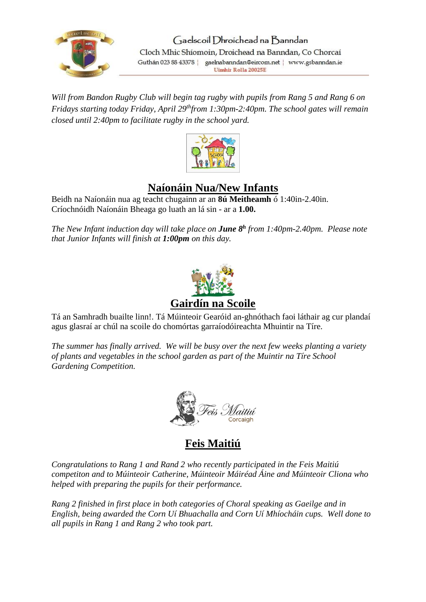

*Will from Bandon Rugby Club will begin tag rugby with pupils from Rang 5 and Rang 6 on Fridays starting today Friday, April 29thfrom 1:30pm-2:40pm. The school gates will remain closed until 2:40pm to facilitate rugby in the school yard.*



### **Naíonáin Nua/New Infants**

Beidh na Naíonáin nua ag teacht chugainn ar an **8ú Meitheamh** ó 1:40in-2.40in. Críochnóidh Naíonáin Bheaga go luath an lá sin - ar a **1.00.**

*The New Infant induction day will take place on June 8<sup>h</sup> from 1:40pm-2.40pm. Please note that Junior Infants will finish at 1:00pm on this day.*



Tá an Samhradh buailte linn!. Tá Múinteoir Gearóid an-ghnóthach faoi láthair ag cur plandaí agus glasraí ar chúl na scoile do chomórtas garraíodóireachta Mhuintir na Tíre.

*The summer has finally arrived. We will be busy over the next few weeks planting a variety of plants and vegetables in the school garden as part of the Muintir na Tíre School Gardening Competition.*



**Feis Maitiú**

*Congratulations to Rang 1 and Rand 2 who recently participated in the Feis Maitiú competiton and to Múinteoir Catherine, Múinteoir Máiréad Áine and Múinteoir Cliona who helped with preparing the pupils for their performance.*

*Rang 2 finished in first place in both categories of Choral speaking as Gaeilge and in English, being awarded the Corn Uí Bhuachalla and Corn Uí Mhíocháin cups. Well done to all pupils in Rang 1 and Rang 2 who took part.*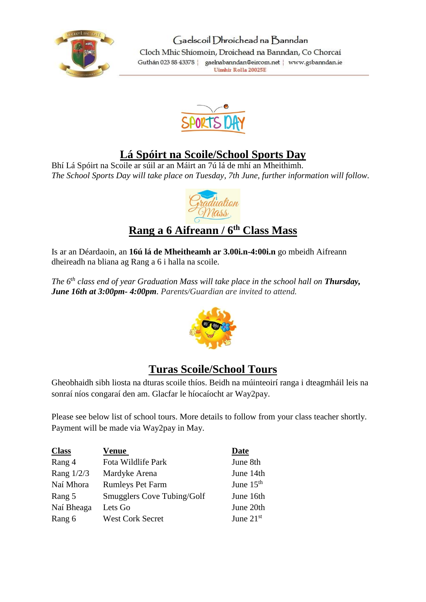



## **Lá Spóirt na Scoile/School Sports Day**

Bhí Lá Spóirt na Scoile ar súil ar an Máirt an 7ú lá de mhí an Mheithimh. *The School Sports Day will take place on Tuesday, 7th June, further information will follow.*



## **Rang a 6 Aifreann / 6th Class Mass**

Is ar an Déardaoin, an **16ú lá de Mheitheamh ar 3.00i.n-4:00i.n** go mbeidh Aifreann dheireadh na bliana ag Rang a 6 i halla na scoile.

*The 6th class end of year Graduation Mass will take place in the school hall on Thursday, June 16th at 3:00pm- 4:00pm. Parents/Guardian are invited to attend.*



## **Turas Scoile/School Tours**

Gheobhaidh sibh liosta na dturas scoile thíos. Beidh na múinteoirí ranga i dteagmháil leis na sonraí níos congaraí den am. Glacfar le híocaíocht ar Way2pay.

Please see below list of school tours. More details to follow from your class teacher shortly. Payment will be made via Way2pay in May.

| <b>Class</b> | Venue                             | Date        |
|--------------|-----------------------------------|-------------|
| Rang 4       | Fota Wildlife Park                | June 8th    |
| Rang $1/2/3$ | Mardyke Arena                     | June 14th   |
| Naí Mhora    | <b>Rumleys Pet Farm</b>           | June $15th$ |
| Rang 5       | <b>Smugglers Cove Tubing/Golf</b> | June 16th   |
| Naí Bheaga   | Lets Go                           | June 20th   |
| Rang 6       | <b>West Cork Secret</b>           | June $21st$ |